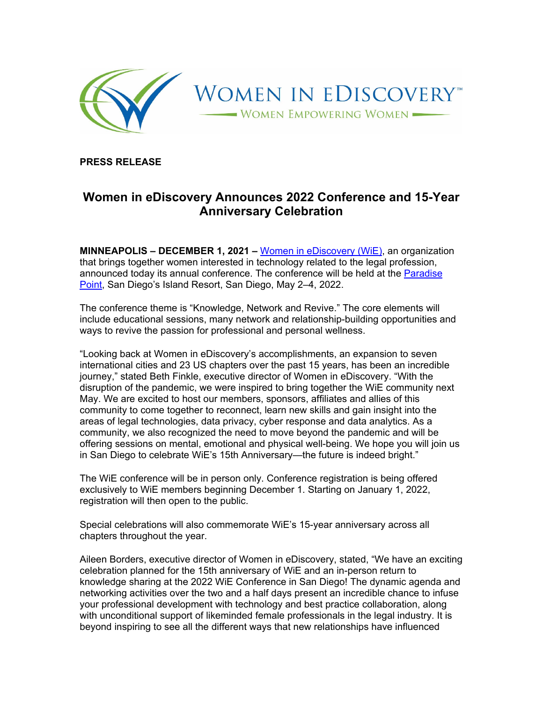

**PRESS RELEASE** 

## **Women in eDiscovery Announces 2022 Conference and 15-Year Anniversary Celebration**

**MINNEAPOLIS – DECEMBER 1, 2021 –** Women in eDiscovery (WiE), an organization that brings together women interested in technology related to the legal profession, announced today its annual conference. The conference will be held at the Paradise Point, San Diego's Island Resort, San Diego, May 2–4, 2022.

The conference theme is "Knowledge, Network and Revive." The core elements will include educational sessions, many network and relationship-building opportunities and ways to revive the passion for professional and personal wellness.

"Looking back at Women in eDiscovery's accomplishments, an expansion to seven international cities and 23 US chapters over the past 15 years, has been an incredible journey," stated Beth Finkle, executive director of Women in eDiscovery. "With the disruption of the pandemic, we were inspired to bring together the WiE community next May. We are excited to host our members, sponsors, affiliates and allies of this community to come together to reconnect, learn new skills and gain insight into the areas of legal technologies, data privacy, cyber response and data analytics. As a community, we also recognized the need to move beyond the pandemic and will be offering sessions on mental, emotional and physical well-being. We hope you will join us in San Diego to celebrate WiE's 15th Anniversary—the future is indeed bright."

The WiE conference will be in person only. Conference registration is being offered exclusively to WiE members beginning December 1. Starting on January 1, 2022, registration will then open to the public.

Special celebrations will also commemorate WiE's 15-year anniversary across all chapters throughout the year.

Aileen Borders, executive director of Women in eDiscovery, stated, "We have an exciting celebration planned for the 15th anniversary of WiE and an in-person return to knowledge sharing at the 2022 WiE Conference in San Diego! The dynamic agenda and networking activities over the two and a half days present an incredible chance to infuse your professional development with technology and best practice collaboration, along with unconditional support of likeminded female professionals in the legal industry. It is beyond inspiring to see all the different ways that new relationships have influenced